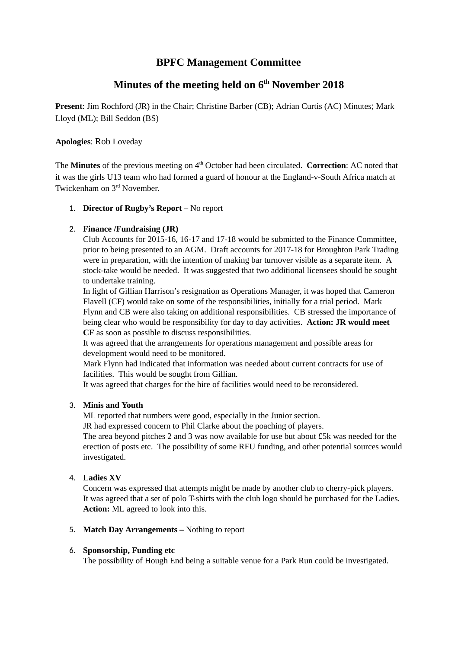## **BPFC Management Committee**

# **Minutes of the meeting held on 6 th November 2018**

**Present**: Jim Rochford (JR) in the Chair; Christine Barber (CB); Adrian Curtis (AC) Minutes; Mark Lloyd (ML); Bill Seddon (BS)

### **Apologies**: Rob Loveday

The **Minutes** of the previous meeting on 4<sup>th</sup> October had been circulated. **Correction**: AC noted that it was the girls U13 team who had formed a guard of honour at the England-v-South Africa match at Twickenham on 3<sup>rd</sup> November.

### 1. **Director of Rugby's Report –** No report

### 2. **Finance /Fundraising (JR)**

Club Accounts for 2015-16, 16-17 and 17-18 would be submitted to the Finance Committee, prior to being presented to an AGM. Draft accounts for 2017-18 for Broughton Park Trading were in preparation, with the intention of making bar turnover visible as a separate item. A stock-take would be needed. It was suggested that two additional licensees should be sought to undertake training.

In light of Gillian Harrison's resignation as Operations Manager, it was hoped that Cameron Flavell (CF) would take on some of the responsibilities, initially for a trial period. Mark Flynn and CB were also taking on additional responsibilities. CB stressed the importance of being clear who would be responsibility for day to day activities. **Action: JR would meet CF** as soon as possible to discuss responsibilities.

It was agreed that the arrangements for operations management and possible areas for development would need to be monitored.

Mark Flynn had indicated that information was needed about current contracts for use of facilities. This would be sought from Gillian.

It was agreed that charges for the hire of facilities would need to be reconsidered.

### 3. **Minis and Youth**

ML reported that numbers were good, especially in the Junior section.

JR had expressed concern to Phil Clarke about the poaching of players.

The area beyond pitches 2 and 3 was now available for use but about £5k was needed for the erection of posts etc. The possibility of some RFU funding, and other potential sources would investigated.

### 4. **Ladies XV**

Concern was expressed that attempts might be made by another club to cherry-pick players. It was agreed that a set of polo T-shirts with the club logo should be purchased for the Ladies. **Action:** ML agreed to look into this.

5. **Match Day Arrangements –** Nothing to report

### 6. **Sponsorship, Funding etc**

The possibility of Hough End being a suitable venue for a Park Run could be investigated.